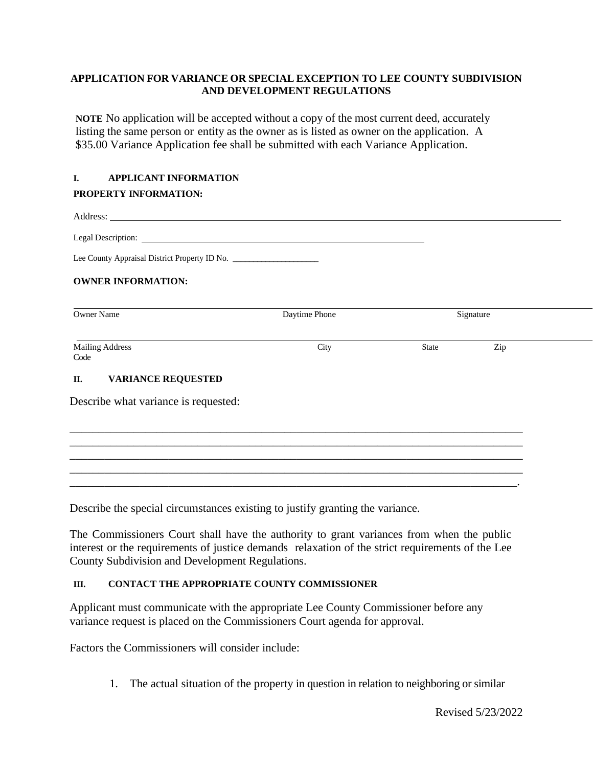## **APPLICATION FOR VARIANCE OR SPECIAL EXCEPTION TO LEE COUNTY SUBDIVISION AND DEVELOPMENT REGULATIONS**

**NOTE** No application will be accepted without a copy of the most current deed, accurately listing the same person or entity as the owner as is listed as owner on the application. A \$35.00 Variance Application fee shall be submitted with each Variance Application.

## **I. APPLICANT INFORMATION**

## **PROPERTY INFORMATION:**

| Address: <u>Note</u> 2008. The second state of the second state of the second state of the second state of the second state of the second state of the second state of the second state of the second state of the second state of |               |           |     |  |  |  |
|------------------------------------------------------------------------------------------------------------------------------------------------------------------------------------------------------------------------------------|---------------|-----------|-----|--|--|--|
|                                                                                                                                                                                                                                    |               |           |     |  |  |  |
| Lee County Appraisal District Property ID No. __________________________________                                                                                                                                                   |               |           |     |  |  |  |
| <b>OWNER INFORMATION:</b>                                                                                                                                                                                                          |               |           |     |  |  |  |
| <b>Owner Name</b>                                                                                                                                                                                                                  | Daytime Phone | Signature |     |  |  |  |
| <b>Mailing Address</b><br>Code                                                                                                                                                                                                     | City          | State     | Zip |  |  |  |
| <b>VARIANCE REQUESTED</b><br>П.                                                                                                                                                                                                    |               |           |     |  |  |  |

Describe what variance is requested:

Describe the special circumstances existing to justify granting the variance.

The Commissioners Court shall have the authority to grant variances from when the public interest or the requirements of justice demands relaxation of the strict requirements of the Lee County Subdivision and Development Regulations.

\_\_\_\_\_\_\_\_\_\_\_\_\_\_\_\_\_\_\_\_\_\_\_\_\_\_\_\_\_\_\_\_\_\_\_\_\_\_\_\_\_\_\_\_\_\_\_\_\_\_\_\_\_\_\_\_\_\_\_\_\_\_\_\_\_\_\_\_\_\_\_\_\_\_\_\_\_\_ \_\_\_\_\_\_\_\_\_\_\_\_\_\_\_\_\_\_\_\_\_\_\_\_\_\_\_\_\_\_\_\_\_\_\_\_\_\_\_\_\_\_\_\_\_\_\_\_\_\_\_\_\_\_\_\_\_\_\_\_\_\_\_\_\_\_\_\_\_\_\_\_\_\_\_\_\_\_ \_\_\_\_\_\_\_\_\_\_\_\_\_\_\_\_\_\_\_\_\_\_\_\_\_\_\_\_\_\_\_\_\_\_\_\_\_\_\_\_\_\_\_\_\_\_\_\_\_\_\_\_\_\_\_\_\_\_\_\_\_\_\_\_\_\_\_\_\_\_\_\_\_\_\_\_\_\_ \_\_\_\_\_\_\_\_\_\_\_\_\_\_\_\_\_\_\_\_\_\_\_\_\_\_\_\_\_\_\_\_\_\_\_\_\_\_\_\_\_\_\_\_\_\_\_\_\_\_\_\_\_\_\_\_\_\_\_\_\_\_\_\_\_\_\_\_\_\_\_\_\_\_\_\_\_\_ \_\_\_\_\_\_\_\_\_\_\_\_\_\_\_\_\_\_\_\_\_\_\_\_\_\_\_\_\_\_\_\_\_\_\_\_\_\_\_\_\_\_\_\_\_\_\_\_\_\_\_\_\_\_\_\_\_\_\_\_\_\_\_\_\_\_\_\_\_\_\_\_\_\_\_\_\_.

## **III. CONTACT THE APPROPRIATE COUNTY COMMISSIONER**

Applicant must communicate with the appropriate Lee County Commissioner before any variance request is placed on the Commissioners Court agenda for approval.

Factors the Commissioners will consider include:

1. The actual situation of the property in question in relation to neighboring or similar